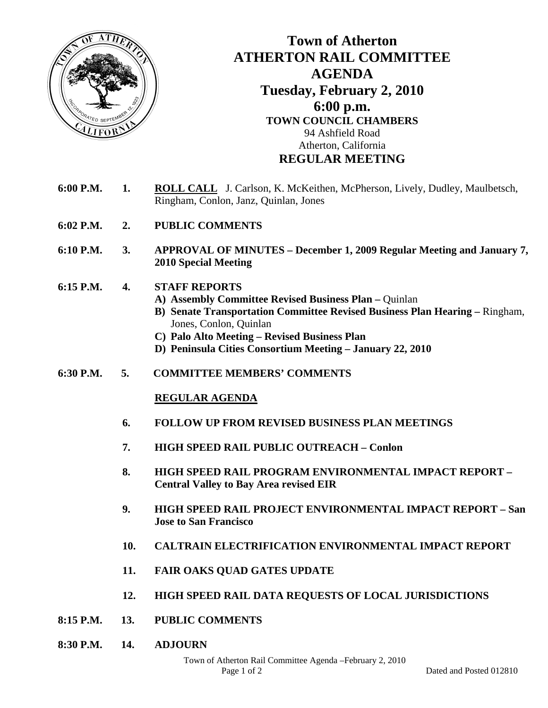

## **Town of Atherton ATHERTON RAIL COMMITTEE AGENDA Tuesday, February 2, 2010 6:00 p.m. TOWN COUNCIL CHAMBERS**  94 Ashfield Road Atherton, California **REGULAR MEETING**

- **6:00 P.M. 1. ROLL CALL** J. Carlson, K. McKeithen, McPherson, Lively, Dudley, Maulbetsch, Ringham, Conlon, Janz, Quinlan, Jones
- **6:02 P.M. 2. PUBLIC COMMENTS**
- **6:10 P.M. 3. APPROVAL OF MINUTES December 1, 2009 Regular Meeting and January 7, 2010 Special Meeting**
- **6:15 P.M. 4. STAFF REPORTS** 
	- **A) Assembly Committee Revised Business Plan** Quinlan
	- **B) Senate Transportation Committee Revised Business Plan Hearing** Ringham, Jones, Conlon, Quinlan
	- **C) Palo Alto Meeting Revised Business Plan**
	- **D) Peninsula Cities Consortium Meeting January 22, 2010**
- **6:30 P.M. 5. COMMITTEE MEMBERS' COMMENTS**

## **REGULAR AGENDA**

- **6. FOLLOW UP FROM REVISED BUSINESS PLAN MEETINGS**
- **7. HIGH SPEED RAIL PUBLIC OUTREACH Conlon**
- **8. HIGH SPEED RAIL PROGRAM ENVIRONMENTAL IMPACT REPORT Central Valley to Bay Area revised EIR**
- **9. HIGH SPEED RAIL PROJECT ENVIRONMENTAL IMPACT REPORT San Jose to San Francisco**
- **10. CALTRAIN ELECTRIFICATION ENVIRONMENTAL IMPACT REPORT**
- **11. FAIR OAKS QUAD GATES UPDATE**
- **12. HIGH SPEED RAIL DATA REQUESTS OF LOCAL JURISDICTIONS**
- **8:15 P.M. 13. PUBLIC COMMENTS**
- **8:30 P.M. 14. ADJOURN**